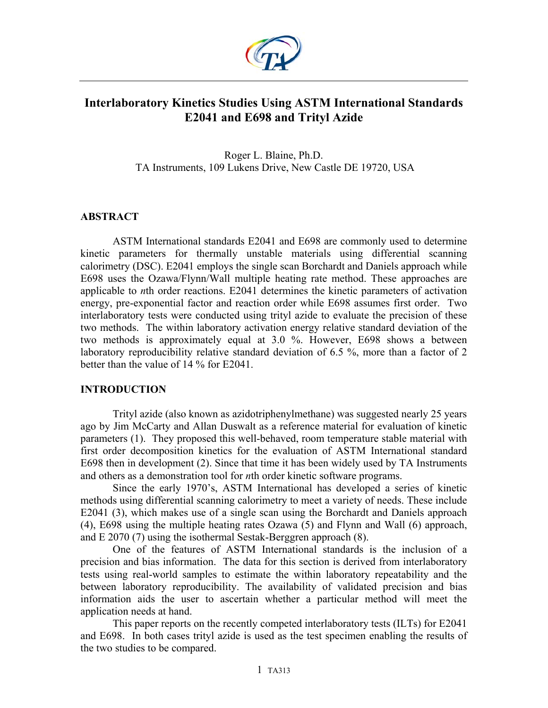

# **Interlaboratory Kinetics Studies Using ASTM International Standards E2041 and E698 and Trityl Azide**

Roger L. Blaine, Ph.D. TA Instruments, 109 Lukens Drive, New Castle DE 19720, USA

### **ABSTRACT**

ASTM International standards E2041 and E698 are commonly used to determine kinetic parameters for thermally unstable materials using differential scanning calorimetry (DSC). E2041 employs the single scan Borchardt and Daniels approach while E698 uses the Ozawa/Flynn/Wall multiple heating rate method. These approaches are applicable to *n*th order reactions. E2041 determines the kinetic parameters of activation energy, pre-exponential factor and reaction order while E698 assumes first order. Two interlaboratory tests were conducted using trityl azide to evaluate the precision of these two methods. The within laboratory activation energy relative standard deviation of the two methods is approximately equal at 3.0 %. However, E698 shows a between laboratory reproducibility relative standard deviation of 6.5 %, more than a factor of 2 better than the value of 14 % for E2041.

### **INTRODUCTION**

Trityl azide (also known as azidotriphenylmethane) was suggested nearly 25 years ago by Jim McCarty and Allan Duswalt as a reference material for evaluation of kinetic parameters (1). They proposed this well-behaved, room temperature stable material with first order decomposition kinetics for the evaluation of ASTM International standard E698 then in development (2). Since that time it has been widely used by TA Instruments and others as a demonstration tool for *n*th order kinetic software programs.

Since the early 1970's, ASTM International has developed a series of kinetic methods using differential scanning calorimetry to meet a variety of needs. These include E2041 (3), which makes use of a single scan using the Borchardt and Daniels approach (4), E698 using the multiple heating rates Ozawa (5) and Flynn and Wall (6) approach, and E 2070 (7) using the isothermal Sestak-Berggren approach (8).

One of the features of ASTM International standards is the inclusion of a precision and bias information. The data for this section is derived from interlaboratory tests using real-world samples to estimate the within laboratory repeatability and the between laboratory reproducibility. The availability of validated precision and bias information aids the user to ascertain whether a particular method will meet the application needs at hand.

This paper reports on the recently competed interlaboratory tests (ILTs) for E2041 and E698. In both cases trityl azide is used as the test specimen enabling the results of the two studies to be compared.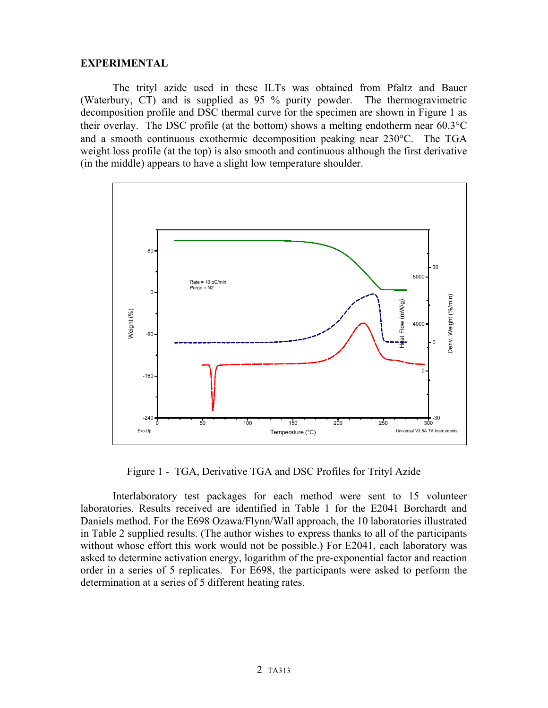### **EXPERIMENTAL**

The trityl azide used in these ILTs was obtained from Pfaltz and Bauer (Waterbury, CT) and is supplied as 95 % purity powder. The thermogravimetric decomposition profile and DSC thermal curve for the specimen are shown in Figure 1 as their overlay. The DSC profile (at the bottom) shows a melting endotherm near 60.3°C and a smooth continuous exothermic decomposition peaking near 230°C. The TGA weight loss profile (at the top) is also smooth and continuous although the first derivative (in the middle) appears to have a slight low temperature shoulder.



Figure 1 - TGA, Derivative TGA and DSC Profiles for Trityl Azide

Interlaboratory test packages for each method were sent to 15 volunteer laboratories. Results received are identified in Table 1 for the E2041 Borchardt and Daniels method. For the E698 Ozawa/Flynn/Wall approach, the 10 laboratories illustrated in Table 2 supplied results. (The author wishes to express thanks to all of the participants without whose effort this work would not be possible.) For E2041, each laboratory was asked to determine activation energy, logarithm of the pre-exponential factor and reaction order in a series of 5 replicates. For E698, the participants were asked to perform the determination at a series of 5 different heating rates.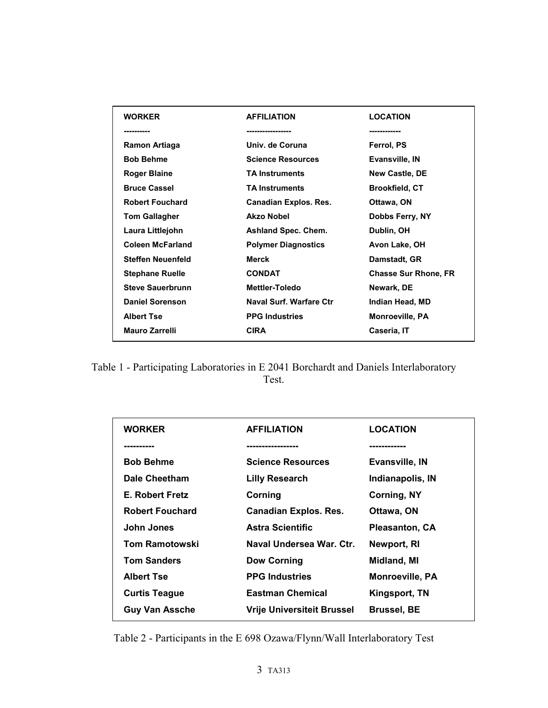| <b>WORKER</b>            | <b>AFFILIATION</b>           | <b>LOCATION</b>             |
|--------------------------|------------------------------|-----------------------------|
|                          | -----------------            | ------------                |
| Ramon Artiaga            | Univ. de Coruna              | Ferrol, PS                  |
| <b>Bob Behme</b>         | <b>Science Resources</b>     | Evansville, IN              |
| <b>Roger Blaine</b>      | <b>TA Instruments</b>        | <b>New Castle, DE</b>       |
| <b>Bruce Cassel</b>      | <b>TA Instruments</b>        | <b>Brookfield, CT</b>       |
| <b>Robert Fouchard</b>   | <b>Canadian Explos. Res.</b> | Ottawa, ON                  |
| <b>Tom Gallagher</b>     | <b>Akzo Nobel</b>            | Dobbs Ferry, NY             |
| Laura Littlejohn         | <b>Ashland Spec. Chem.</b>   | Dublin, OH                  |
| <b>Coleen McFarland</b>  | <b>Polymer Diagnostics</b>   | Avon Lake, OH               |
| <b>Steffen Neuenfeld</b> | Merck                        | Damstadt, GR                |
| <b>Stephane Ruelle</b>   | <b>CONDAT</b>                | <b>Chasse Sur Rhone, FR</b> |
| <b>Steve Sauerbrunn</b>  | <b>Mettler-Toledo</b>        | Newark, DE                  |
| <b>Daniel Sorenson</b>   | Naval Surf. Warfare Ctr      | Indian Head, MD             |
| <b>Albert Tse</b>        | <b>PPG Industries</b>        | <b>Monroeville, PA</b>      |
| <b>Mauro Zarrelli</b>    | <b>CIRA</b>                  | Caseria, IT                 |
|                          |                              |                             |

Table 1 - Participating Laboratories in E 2041 Borchardt and Daniels Interlaboratory Test.

| <b>WORKER</b>          | <b>AFFILIATION</b>                | <b>LOCATION</b>        |
|------------------------|-----------------------------------|------------------------|
| ----------             | ----------------                  | ------------           |
| <b>Bob Behme</b>       | <b>Science Resources</b>          | <b>Evansville, IN</b>  |
| Dale Cheetham          | <b>Lilly Research</b>             | Indianapolis, IN       |
| <b>E. Robert Fretz</b> | Corning                           | Corning, NY            |
| <b>Robert Fouchard</b> | <b>Canadian Explos. Res.</b>      | Ottawa, ON             |
| John Jones             | <b>Astra Scientific</b>           | <b>Pleasanton, CA</b>  |
| <b>Tom Ramotowski</b>  | Naval Undersea War, Ctr.          | Newport, RI            |
| <b>Tom Sanders</b>     | <b>Dow Corning</b>                | Midland, MI            |
| <b>Albert Tse</b>      | <b>PPG Industries</b>             | <b>Monroeville, PA</b> |
| <b>Curtis Teague</b>   | <b>Eastman Chemical</b>           | Kingsport, TN          |
| <b>Guy Van Assche</b>  | <b>Vrije Universiteit Brussel</b> | <b>Brussel, BE</b>     |

Table 2 - Participants in the E 698 Ozawa/Flynn/Wall Interlaboratory Test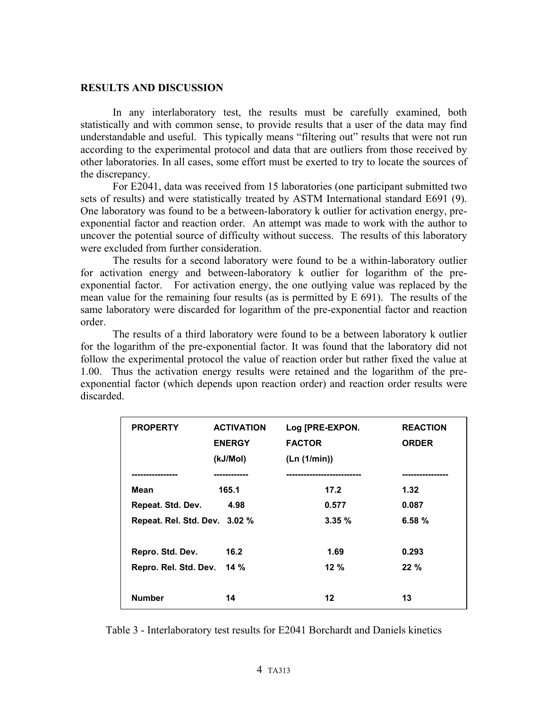#### **RESULTS AND DISCUSSION**

In any interlaboratory test, the results must be carefully examined, both statistically and with common sense, to provide results that a user of the data may find understandable and useful. This typically means "filtering out" results that were not run according to the experimental protocol and data that are outliers from those received by other laboratories. In all cases, some effort must be exerted to try to locate the sources of the discrepancy.

For E2041, data was received from 15 laboratories (one participant submitted two sets of results) and were statistically treated by ASTM International standard E691 (9). One laboratory was found to be a between-laboratory k outlier for activation energy, preexponential factor and reaction order. An attempt was made to work with the author to uncover the potential source of difficulty without success. The results of this laboratory were excluded from further consideration.

The results for a second laboratory were found to be a within-laboratory outlier for activation energy and between-laboratory k outlier for logarithm of the preexponential factor. For activation energy, the one outlying value was replaced by the mean value for the remaining four results (as is permitted by E 691). The results of the same laboratory were discarded for logarithm of the pre-exponential factor and reaction order.

The results of a third laboratory were found to be a between laboratory k outlier for the logarithm of the pre-exponential factor. It was found that the laboratory did not follow the experimental protocol the value of reaction order but rather fixed the value at 1.00. Thus the activation energy results were retained and the logarithm of the preexponential factor (which depends upon reaction order) and reaction order results were discarded.

| <b>PROPERTY</b>               | <b>ACTIVATION</b><br><b>ENERGY</b><br>(kJ/Mol) | Log [PRE-EXPON.<br><b>FACTOR</b><br>(Ln (1/min)) | <b>REACTION</b><br><b>ORDER</b> |
|-------------------------------|------------------------------------------------|--------------------------------------------------|---------------------------------|
| -------------                 | ---------                                      | --------------------                             | --------------                  |
| Mean                          | 165.1                                          | 17.2                                             | 1.32                            |
| Repeat. Std. Dev.             | 4.98                                           | 0.577                                            | 0.087                           |
| Repeat. Rel. Std. Dev. 3.02 % |                                                | 3.35%                                            | 6.58%                           |
| Repro. Std. Dev.              | 16.2                                           | 1.69                                             | 0.293                           |
| Repro. Rel. Std. Dev.         | 14%                                            | $12 \%$                                          | $22 \%$                         |
| <b>Number</b>                 | 14                                             | $12 \,$                                          | 13                              |

Table 3 - Interlaboratory test results for E2041 Borchardt and Daniels kinetics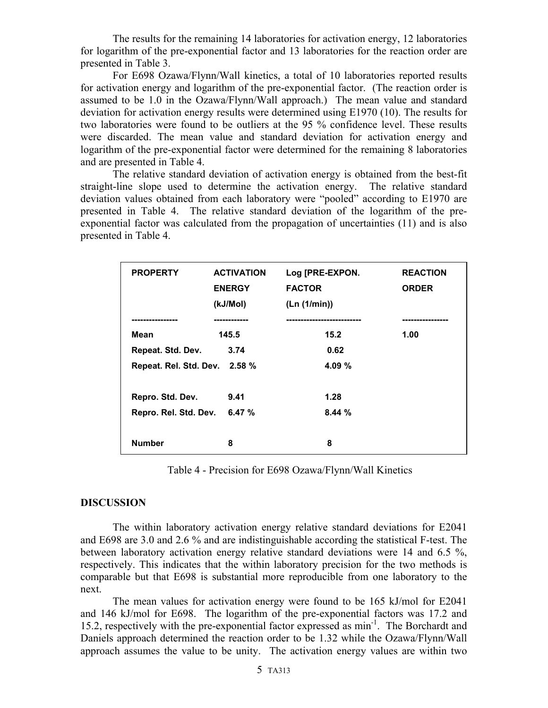The results for the remaining 14 laboratories for activation energy, 12 laboratories for logarithm of the pre-exponential factor and 13 laboratories for the reaction order are presented in Table 3.

For E698 Ozawa/Flynn/Wall kinetics, a total of 10 laboratories reported results for activation energy and logarithm of the pre-exponential factor. (The reaction order is assumed to be 1.0 in the Ozawa/Flynn/Wall approach.) The mean value and standard deviation for activation energy results were determined using E1970 (10). The results for two laboratories were found to be outliers at the 95 % confidence level. These results were discarded. The mean value and standard deviation for activation energy and logarithm of the pre-exponential factor were determined for the remaining 8 laboratories and are presented in Table 4.

The relative standard deviation of activation energy is obtained from the best-fit straight-line slope used to determine the activation energy. The relative standard deviation values obtained from each laboratory were "pooled" according to E1970 are presented in Table 4. The relative standard deviation of the logarithm of the preexponential factor was calculated from the propagation of uncertainties (11) and is also presented in Table 4.

| <b>PROPERTY</b>               | <b>ACTIVATION</b><br><b>ENERGY</b><br>(kJ/Mol) | Log [PRE-EXPON.<br><b>FACTOR</b><br>(Ln (1/min)) | <b>REACTION</b><br><b>ORDER</b> |
|-------------------------------|------------------------------------------------|--------------------------------------------------|---------------------------------|
|                               |                                                |                                                  |                                 |
| Mean                          | 145.5                                          | 15.2                                             | 1.00                            |
| Repeat. Std. Dev.             | 3.74                                           | 0.62                                             |                                 |
| Repeat. Rel. Std. Dev. 2.58 % |                                                | 4.09%                                            |                                 |
|                               |                                                |                                                  |                                 |
| Repro. Std. Dev.              | 9.41                                           | 1.28                                             |                                 |
| Repro. Rel. Std. Dev.         | 6.47%                                          | 8.44%                                            |                                 |
|                               |                                                |                                                  |                                 |
| <b>Number</b>                 | 8                                              | 8                                                |                                 |

Table 4 - Precision for E698 Ozawa/Flynn/Wall Kinetics

### **DISCUSSION**

The within laboratory activation energy relative standard deviations for E2041 and E698 are 3.0 and 2.6 % and are indistinguishable according the statistical F-test. The between laboratory activation energy relative standard deviations were 14 and 6.5 %, respectively. This indicates that the within laboratory precision for the two methods is comparable but that E698 is substantial more reproducible from one laboratory to the next.

The mean values for activation energy were found to be 165 kJ/mol for E2041 and 146 kJ/mol for E698. The logarithm of the pre-exponential factors was 17.2 and 15.2, respectively with the pre-exponential factor expressed as min<sup>-1</sup>. The Borchardt and Daniels approach determined the reaction order to be 1.32 while the Ozawa/Flynn/Wall approach assumes the value to be unity. The activation energy values are within two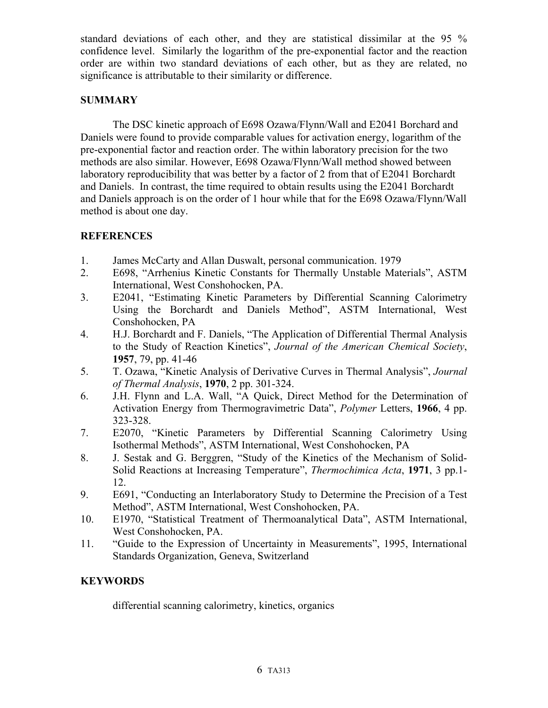standard deviations of each other, and they are statistical dissimilar at the 95 % confidence level. Similarly the logarithm of the pre-exponential factor and the reaction order are within two standard deviations of each other, but as they are related, no significance is attributable to their similarity or difference.

### **SUMMARY**

The DSC kinetic approach of E698 Ozawa/Flynn/Wall and E2041 Borchard and Daniels were found to provide comparable values for activation energy, logarithm of the pre-exponential factor and reaction order. The within laboratory precision for the two methods are also similar. However, E698 Ozawa/Flynn/Wall method showed between laboratory reproducibility that was better by a factor of 2 from that of E2041 Borchardt and Daniels. In contrast, the time required to obtain results using the E2041 Borchardt and Daniels approach is on the order of 1 hour while that for the E698 Ozawa/Flynn/Wall method is about one day.

## **REFERENCES**

- 1. James McCarty and Allan Duswalt, personal communication. 1979
- 2. E698, "Arrhenius Kinetic Constants for Thermally Unstable Materials", ASTM International, West Conshohocken, PA.
- 3. E2041, "Estimating Kinetic Parameters by Differential Scanning Calorimetry Using the Borchardt and Daniels Method", ASTM International, West Conshohocken, PA
- 4. H.J. Borchardt and F. Daniels, "The Application of Differential Thermal Analysis to the Study of Reaction Kinetics", *Journal of the American Chemical Society*, **1957**, 79, pp. 41-46
- 5. T. Ozawa, "Kinetic Analysis of Derivative Curves in Thermal Analysis", *Journal of Thermal Analysis*, **1970**, 2 pp. 301-324.
- 6. J.H. Flynn and L.A. Wall, "A Quick, Direct Method for the Determination of Activation Energy from Thermogravimetric Data", *Polymer* Letters, **1966**, 4 pp. 323-328.
- 7. E2070, "Kinetic Parameters by Differential Scanning Calorimetry Using Isothermal Methods", ASTM International, West Conshohocken, PA
- 8. J. Sestak and G. Berggren, "Study of the Kinetics of the Mechanism of Solid-Solid Reactions at Increasing Temperature", *Thermochimica Acta*, **1971**, 3 pp.1- 12.
- 9. E691, "Conducting an Interlaboratory Study to Determine the Precision of a Test Method", ASTM International, West Conshohocken, PA.
- 10. E1970, "Statistical Treatment of Thermoanalytical Data", ASTM International, West Conshohocken, PA.
- 11. "Guide to the Expression of Uncertainty in Measurements", 1995, International Standards Organization, Geneva, Switzerland

## **KEYWORDS**

differential scanning calorimetry, kinetics, organics